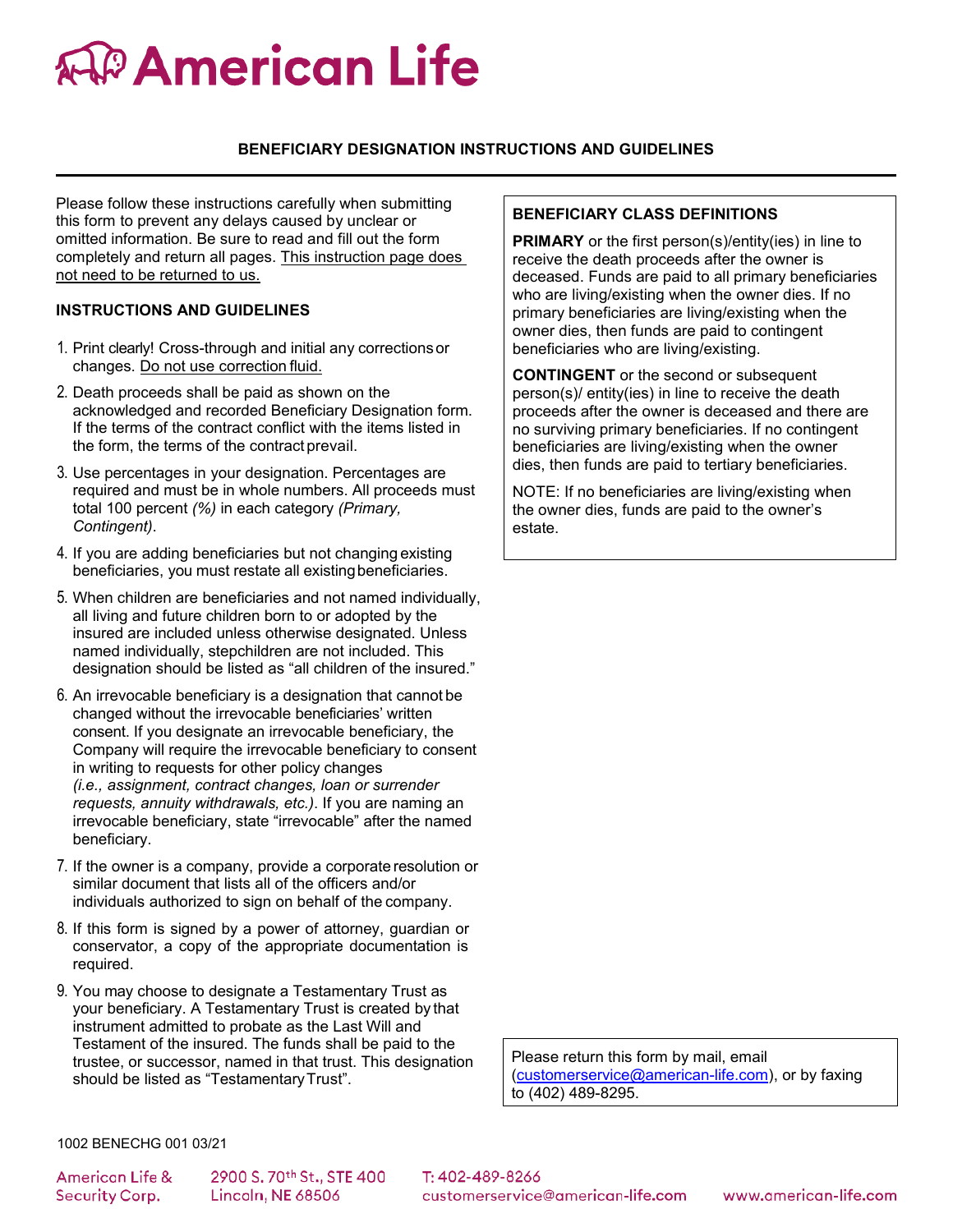# *C* **American Life**

## **BENEFICIARY DESIGNATION INSTRUCTIONS AND GUIDELINES**

Please follow these instructions carefully when submitting this form to prevent any delays caused by unclear or omitted information. Be sure to read and fill out the form completely and return all pages. This instruction page does not need to be returned to us.

#### **INSTRUCTIONS AND GUIDELINES**

- 1. Print clearly! Cross-through and initial any correctionsor changes. Do not use correction fluid.
- 2. Death proceeds shall be paid as shown on the acknowledged and recorded Beneficiary Designation form. If the terms of the contract conflict with the items listed in the form, the terms of the contract prevail.
- 3. Use percentages in your designation. Percentages are required and must be in whole numbers. All proceeds must total 100 percent *(%)* in each category *(Primary, Contingent)*.
- 4. If you are adding beneficiaries but not changing existing beneficiaries, you must restate all existingbeneficiaries.
- 5. When children are beneficiaries and not named individually, all living and future children born to or adopted by the insured are included unless otherwise designated. Unless named individually, stepchildren are not included. This designation should be listed as "all children of the insured."
- 6. An irrevocable beneficiary is a designation that cannot be changed without the irrevocable beneficiaries' written consent. If you designate an irrevocable beneficiary, the Company will require the irrevocable beneficiary to consent in writing to requests for other policy changes *(i.e., assignment, contract changes, loan or surrender requests, annuity withdrawals, etc.)*. If you are naming an irrevocable beneficiary, state "irrevocable" after the named beneficiary.
- 7. If the owner is a company, provide a corporate resolution or similar document that lists all of the officers and/or individuals authorized to sign on behalf of the company.
- 8. If this form is signed by a power of attorney, guardian or conservator, a copy of the appropriate documentation is required.
- 9. You may choose to designate a Testamentary Trust as your beneficiary. A Testamentary Trust is created by that instrument admitted to probate as the Last Will and Testament of the insured. The funds shall be paid to the trustee, or successor, named in that trust. This designation should be listed as "Testamentary Trust".

# **BENEFICIARY CLASS DEFINITIONS**

**PRIMARY** or the first person(s)/entity(ies) in line to receive the death proceeds after the owner is deceased. Funds are paid to all primary beneficiaries who are living/existing when the owner dies. If no primary beneficiaries are living/existing when the owner dies, then funds are paid to contingent beneficiaries who are living/existing.

**CONTINGENT** or the second or subsequent person(s)/ entity(ies) in line to receive the death proceeds after the owner is deceased and there are no surviving primary beneficiaries. If no contingent beneficiaries are living/existing when the owner dies, then funds are paid to tertiary beneficiaries.

NOTE: If no beneficiaries are living/existing when the owner dies, funds are paid to the owner's estate.

Please return this form by mail, email [\(customerservice@american-life.com\)](mailto:customerservice@american-life.com), or by faxing to (402) 489-8295.

1002 BENECHG 001 03/21

**American Life &** Security Corp.

2900 S.70th St., STE 400 Lincoln, NE 68506

T: 402-489-8266 customerservice@american-life.com

www.american-life.com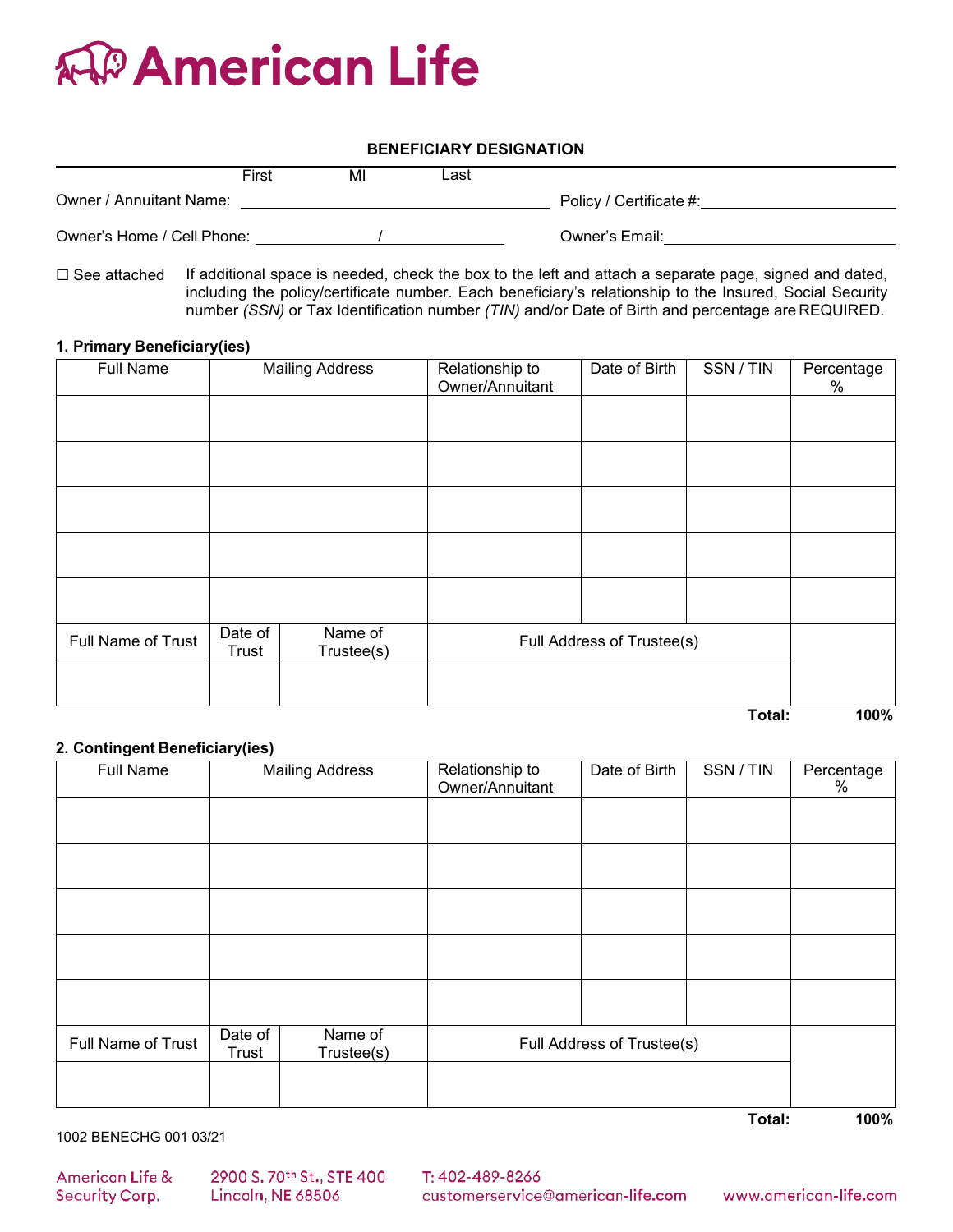

# **BENEFICIARY DESIGNATION**

|                            | First | MI | _ast |                         |
|----------------------------|-------|----|------|-------------------------|
| Owner / Annuitant Name:    |       |    |      | Policy / Certificate #: |
| Owner's Home / Cell Phone: |       |    |      | Owner's Email:          |

 $\Box$  See attached If additional space is needed, check the box to the left and attach a separate page, signed and dated, including the policy/certificate number. Each beneficiary's relationship to the Insured, Social Security number *(SSN)* or Tax Identification number *(TIN)* and/or Date of Birth and percentage are REQUIRED.

#### **1. Primary Beneficiary(ies)**

| Full Name          | <b>Mailing Address</b> |                       | Relationship to<br>Owner/Annuitant | Date of Birth | SSN / TIN | Percentage<br>% |
|--------------------|------------------------|-----------------------|------------------------------------|---------------|-----------|-----------------|
|                    |                        |                       |                                    |               |           |                 |
|                    |                        |                       |                                    |               |           |                 |
|                    |                        |                       |                                    |               |           |                 |
|                    |                        |                       |                                    |               |           |                 |
|                    |                        |                       |                                    |               |           |                 |
| Full Name of Trust | Date of<br>Trust       | Name of<br>Trustee(s) | Full Address of Trustee(s)         |               |           |                 |
|                    |                        |                       |                                    |               |           |                 |
|                    |                        |                       |                                    |               | Total:    | 100%            |

#### **2. Contingent Beneficiary(ies)**

| Full Name          |                  | <b>Mailing Address</b> | Relationship to<br>Owner/Annuitant | Date of Birth | SSN / TIN | Percentage<br>$\%$ |
|--------------------|------------------|------------------------|------------------------------------|---------------|-----------|--------------------|
|                    |                  |                        |                                    |               |           |                    |
|                    |                  |                        |                                    |               |           |                    |
|                    |                  |                        |                                    |               |           |                    |
|                    |                  |                        |                                    |               |           |                    |
|                    |                  |                        |                                    |               |           |                    |
| Full Name of Trust | Date of<br>Trust | Name of<br>Trustee(s)  | Full Address of Trustee(s)         |               |           |                    |
|                    |                  |                        |                                    |               |           |                    |
|                    |                  |                        |                                    |               | Total:    | 100%               |

1002 BENECHG 001 03/21

**American Life &** Security Corp.